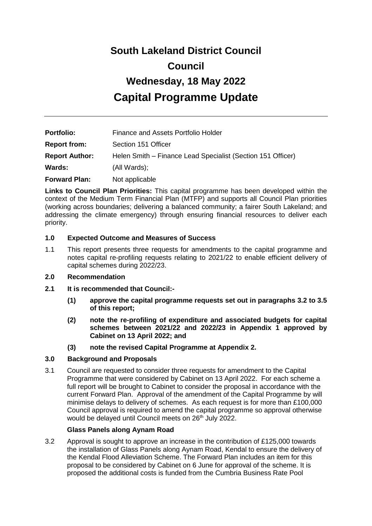# **South Lakeland District Council Council Wednesday, 18 May 2022 Capital Programme Update**

| <b>Portfolio:</b>     | Finance and Assets Portfolio Holder                         |
|-----------------------|-------------------------------------------------------------|
| <b>Report from:</b>   | Section 151 Officer                                         |
| <b>Report Author:</b> | Helen Smith – Finance Lead Specialist (Section 151 Officer) |
| Wards:                | (All Wards);                                                |
| <b>Forward Plan:</b>  | Not applicable                                              |

**Links to Council Plan Priorities:** This capital programme has been developed within the context of the Medium Term Financial Plan (MTFP) and supports all Council Plan priorities (working across boundaries; delivering a balanced community; a fairer South Lakeland; and addressing the climate emergency) through ensuring financial resources to deliver each priority.

#### **1.0 Expected Outcome and Measures of Success**

1.1 This report presents three requests for amendments to the capital programme and notes capital re-profiling requests relating to 2021/22 to enable efficient delivery of capital schemes during 2022/23.

#### **2.0 Recommendation**

- **2.1 It is recommended that Council:-**
	- **(1) approve the capital programme requests set out in paragraphs 3.2 to 3.5 of this report;**
	- **(2) note the re-profiling of expenditure and associated budgets for capital schemes between 2021/22 and 2022/23 in Appendix 1 approved by Cabinet on 13 April 2022; and**
	- **(3) note the revised Capital Programme at Appendix 2.**

#### **3.0 Background and Proposals**

3.1 Council are requested to consider three requests for amendment to the Capital Programme that were considered by Cabinet on 13 April 2022. For each scheme a full report will be brought to Cabinet to consider the proposal in accordance with the current Forward Plan. Approval of the amendment of the Capital Programme by will minimise delays to delivery of schemes. As each request is for more than £100,000 Council approval is required to amend the capital programme so approval otherwise would be delayed until Council meets on 26<sup>th</sup> July 2022.

#### **Glass Panels along Aynam Road**

3.2 Approval is sought to approve an increase in the contribution of £125,000 towards the installation of Glass Panels along Aynam Road, Kendal to ensure the delivery of the Kendal Flood Alleviation Scheme. The Forward Plan includes an item for this proposal to be considered by Cabinet on 6 June for approval of the scheme. It is proposed the additional costs is funded from the Cumbria Business Rate Pool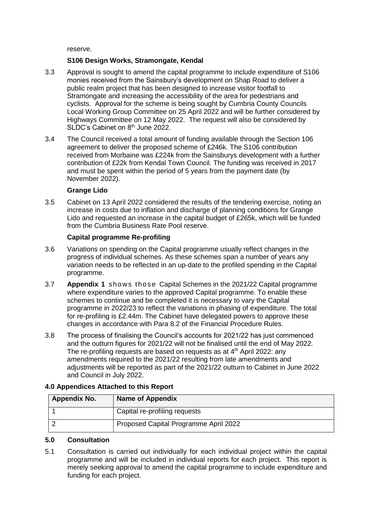reserve.

#### **S106 Design Works, Stramongate, Kendal**

- 3.3 Approval is sought to amend the capital programme to include expenditure of S106 monies received from the Sainsbury's development on Shap Road to deliver a public realm project that has been designed to increase visitor footfall to Stramongate and increasing the accessibility of the area for pedestrians and cyclists. Approval for the scheme is being sought by Cumbria County Councils Local Working Group Committee on 25 April 2022 and will be further considered by Highways Committee on 12 May 2022. The request will also be considered by SLDC's Cabinet on 8<sup>th</sup> June 2022.
- 3.4 The Council received a total amount of funding available through the Section 106 agreement to deliver the proposed scheme of £246k. The S106 contribution received from Morbaine was £224k from the Sainsburys development with a further contribution of £22k from Kendal Town Council. The funding was received in 2017 and must be spent within the period of 5 years from the payment date (by November 2022).

#### **Grange Lido**

3.5 Cabinet on 13 April 2022 considered the results of the tendering exercise, noting an increase in costs due to inflation and discharge of planning conditions for Grange Lido and requested an increase in the capital budget of £265k, which will be funded from the Cumbria Business Rate Pool reserve.

#### **Capital programme Re-profiling**

- 3.6 Variations on spending on the Capital programme usually reflect changes in the progress of individual schemes. As these schemes span a number of years any variation needs to be reflected in an up-date to the profiled spending in the Capital programme.
- 3.7 **Appendix 1** shows those Capital Schemes in the 2021/22 Capital programme where expenditure varies to the approved Capital programme. To enable these schemes to continue and be completed it is necessary to vary the Capital programme in 2022/23 to reflect the variations in phasing of expenditure. The total for re-profiling is £2.44m. The Cabinet have delegated powers to approve these changes in accordance with Para 8.2 of the Financial Procedure Rules.
- 3.8 The process of finalising the Council's accounts for 2021/22 has just commenced and the outturn figures for 2021/22 will not be finalised until the end of May 2022. The re-profiling requests are based on requests as at  $4<sup>th</sup>$  April 2022: any amendments required to the 2021/22 resulting from late amendments and adjustments will be reported as part of the 2021/22 outturn to Cabinet in June 2022 and Council in July 2022.

#### **4.0 Appendices Attached to this Report**

| <b>Appendix No.</b> | <b>Name of Appendix</b>               |
|---------------------|---------------------------------------|
|                     | Capital re-profiling requests         |
|                     | Proposed Capital Programme April 2022 |

#### **5.0 Consultation**

5.1 Consultation is carried out individually for each individual project within the capital programme and will be included in individual reports for each project. This report is merely seeking approval to amend the capital programme to include expenditure and funding for each project.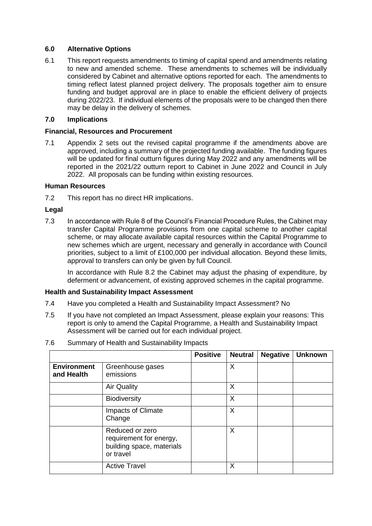#### **6.0 Alternative Options**

6.1 This report requests amendments to timing of capital spend and amendments relating to new and amended scheme. These amendments to schemes will be individually considered by Cabinet and alternative options reported for each. The amendments to timing reflect latest planned project delivery. The proposals together aim to ensure funding and budget approval are in place to enable the efficient delivery of projects during 2022/23. If individual elements of the proposals were to be changed then there may be delay in the delivery of schemes.

#### **7.0 Implications**

#### **Financial, Resources and Procurement**

7.1 Appendix 2 sets out the revised capital programme if the amendments above are approved, including a summary of the projected funding available. The funding figures will be updated for final outturn figures during May 2022 and any amendments will be reported in the 2021/22 outturn report to Cabinet in June 2022 and Council in July 2022. All proposals can be funding within existing resources.

#### **Human Resources**

7.2 This report has no direct HR implications.

#### **Legal**

7.3 In accordance with Rule 8 of the Council's Financial Procedure Rules, the Cabinet may transfer Capital Programme provisions from one capital scheme to another capital scheme, or may allocate available capital resources within the Capital Programme to new schemes which are urgent, necessary and generally in accordance with Council priorities, subject to a limit of £100,000 per individual allocation. Beyond these limits, approval to transfers can only be given by full Council.

In accordance with Rule 8.2 the Cabinet may adjust the phasing of expenditure, by deferment or advancement, of existing approved schemes in the capital programme.

#### **Health and Sustainability Impact Assessment**

- 7.4 Have you completed a Health and Sustainability Impact Assessment? No
- 7.5 If you have not completed an Impact Assessment, please explain your reasons: This report is only to amend the Capital Programme, a Health and Sustainability Impact Assessment will be carried out for each individual project.

| 7.6 | Summary of Health and Sustainability Impacts |  |
|-----|----------------------------------------------|--|
|-----|----------------------------------------------|--|

|                                  |                                                                                      | <b>Positive</b> | <b>Neutral</b> | <b>Negative</b> | <b>Unknown</b> |
|----------------------------------|--------------------------------------------------------------------------------------|-----------------|----------------|-----------------|----------------|
| <b>Environment</b><br>and Health | Greenhouse gases<br>emissions                                                        |                 | X              |                 |                |
|                                  | <b>Air Quality</b>                                                                   |                 | X              |                 |                |
|                                  | Biodiversity                                                                         |                 | X              |                 |                |
|                                  | Impacts of Climate<br>Change                                                         |                 | X              |                 |                |
|                                  | Reduced or zero<br>requirement for energy,<br>building space, materials<br>or travel |                 | X              |                 |                |
|                                  | <b>Active Travel</b>                                                                 |                 | X              |                 |                |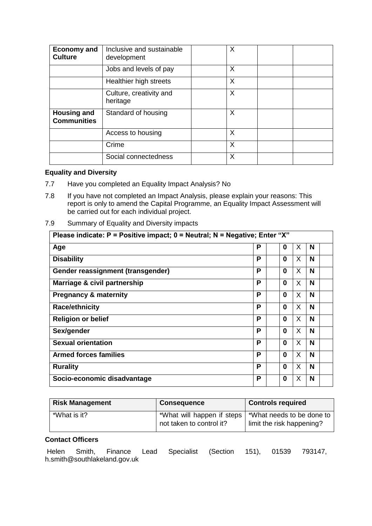| <b>Economy and</b><br><b>Culture</b>     | Inclusive and sustainable<br>development | X |  |
|------------------------------------------|------------------------------------------|---|--|
|                                          | Jobs and levels of pay                   | X |  |
|                                          | Healthier high streets                   | X |  |
|                                          | Culture, creativity and<br>heritage      | X |  |
| <b>Housing and</b><br><b>Communities</b> | Standard of housing                      | X |  |
|                                          | Access to housing                        | X |  |
|                                          | Crime                                    | X |  |
|                                          | Social connectedness                     | X |  |

#### **Equality and Diversity**

- 7.7 Have you completed an Equality Impact Analysis? No
- 7.8 If you have not completed an Impact Analysis, please explain your reasons: This report is only to amend the Capital Programme, an Equality Impact Assessment will be carried out for each individual project.
- 7.9 Summary of Equality and Diversity impacts

| Please indicate: $P =$ Positive impact; $0 =$ Neutral; N = Negative; Enter "X" |   |          |    |   |  |
|--------------------------------------------------------------------------------|---|----------|----|---|--|
| Age                                                                            | Р | 0        | X  | N |  |
| <b>Disability</b>                                                              | P | 0        | X. | N |  |
| Gender reassignment (transgender)                                              | Р | 0        | X  | N |  |
| Marriage & civil partnership                                                   | P | 0        | X  | N |  |
| <b>Pregnancy &amp; maternity</b>                                               | P | 0        | X  | N |  |
| <b>Race/ethnicity</b>                                                          | P | 0        | X. | N |  |
| <b>Religion or belief</b>                                                      | P | $\Omega$ | X  | N |  |
| Sex/gender                                                                     | Р | $\Omega$ | X  | N |  |
| <b>Sexual orientation</b>                                                      | P | $\Omega$ | X  | N |  |
| <b>Armed forces families</b>                                                   | P | 0        | X  | N |  |
| <b>Rurality</b>                                                                | Р | 0        | X  | N |  |
| Socio-economic disadvantage                                                    | P | 0        | X  | N |  |

| <b>Risk Management</b> | <b>Consequence</b>                                     | <b>Controls required</b>                               |
|------------------------|--------------------------------------------------------|--------------------------------------------------------|
| *What is it?           | *What will happen if steps<br>not taken to control it? | *What needs to be done to<br>limit the risk happening? |

#### **Contact Officers**

Helen Smith, Finance Lead Specialist (Section 151), 01539 793147, h.smith@southlakeland.gov.uk